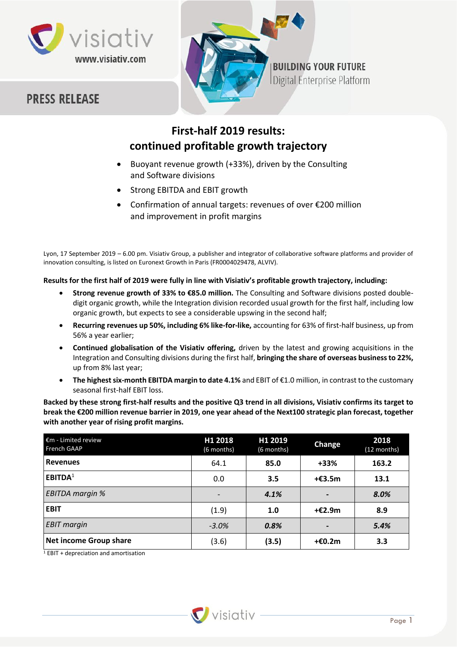

## **PRESS RELEASE**



# **First-half 2019 results: continued profitable growth trajectory**

- Buoyant revenue growth (+33%), driven by the Consulting and Software divisions
- Strong EBITDA and EBIT growth
- Confirmation of annual targets: revenues of over €200 million and improvement in profit margins

Lyon, 17 September 2019 – 6.00 pm. Visiativ Group, a publisher and integrator of collaborative software platforms and provider of innovation consulting, is listed on Euronext Growth in Paris (FR0004029478, ALVIV).

## **Results for the first half of 2019 were fully in line with Visiativ's profitable growth trajectory, including:**

- **Strong revenue growth of 33% to €85.0 million.** The Consulting and Software divisions posted doubledigit organic growth, while the Integration division recorded usual growth for the first half, including low organic growth, but expects to see a considerable upswing in the second half;
- **Recurring revenues up 50%, including 6% like-for-like,** accounting for 63% of first-half business, up from 56% a year earlier;
- **Continued globalisation of the Visiativ offering,** driven by the latest and growing acquisitions in the Integration and Consulting divisions during the first half, **bringing the share of overseas business to 22%,**  up from 8% last year;
- **The highest six-month EBITDA margin to date 4.1%** and EBIT of €1.0 million, in contrast to the customary seasonal first-half EBIT loss.

**Backed by these strong first-half results and the positive Q3 trend in all divisions, Visiativ confirms its target to break the €200 million revenue barrier in 2019, one year ahead of the Next100 strategic plan forecast, together with another year of rising profit margins.**

| $\epsilon$ m - Limited review<br>French GAAP | H1 2018<br>(6 months) | H1 2019<br>(6 months) | <b>Change</b> | 2018<br>(12 months) |
|----------------------------------------------|-----------------------|-----------------------|---------------|---------------------|
| <b>Revenues</b>                              | 64.1                  | 85.0                  | $+33%$        | 163.2               |
| EBITDA <sup>1</sup>                          | 0.0                   | 3.5                   | $+£3.5m$      | 13.1                |
| <b>EBITDA</b> margin %                       |                       | 4.1%                  |               | 8.0%                |
| <b>EBIT</b>                                  | (1.9)                 | 1.0                   | $+£2.9m$      | 8.9                 |
| <b>EBIT</b> margin                           | $-3.0%$               | 0.8%                  |               | 5.4%                |
| Net income Group share                       | (3.6)                 | (3.5)                 | $+£0.2m$      | 3.3                 |

<sup>1</sup> EBIT + depreciation and amortisation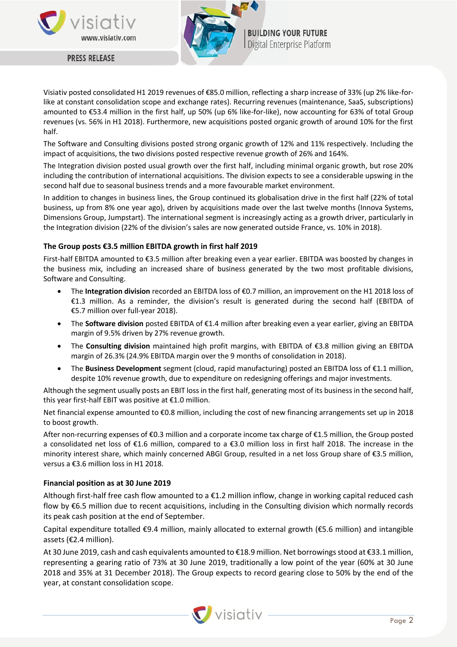



**BUILDING YOUR FUTURE** Digital Enterprise Platform

**PRESS RELEASE** 

Visiativ posted consolidated H1 2019 revenues of €85.0 million, reflecting a sharp increase of 33% (up 2% like-forlike at constant consolidation scope and exchange rates). Recurring revenues (maintenance, SaaS, subscriptions) amounted to €53.4 million in the first half, up 50% (up 6% like-for-like), now accounting for 63% of total Group revenues (vs. 56% in H1 2018). Furthermore, new acquisitions posted organic growth of around 10% for the first half.

The Software and Consulting divisions posted strong organic growth of 12% and 11% respectively. Including the impact of acquisitions, the two divisions posted respective revenue growth of 26% and 164%.

The Integration division posted usual growth over the first half, including minimal organic growth, but rose 20% including the contribution of international acquisitions. The division expects to see a considerable upswing in the second half due to seasonal business trends and a more favourable market environment.

In addition to changes in business lines, the Group continued its globalisation drive in the first half (22% of total business, up from 8% one year ago), driven by acquisitions made over the last twelve months (Innova Systems, Dimensions Group, Jumpstart). The international segment is increasingly acting as a growth driver, particularly in the Integration division (22% of the division's sales are now generated outside France, vs. 10% in 2018).

## **The Group posts €3.5 million EBITDA growth in first half 2019**

First-half EBITDA amounted to €3.5 million after breaking even a year earlier. EBITDA was boosted by changes in the business mix, including an increased share of business generated by the two most profitable divisions, Software and Consulting.

- The **Integration division** recorded an EBITDA loss of €0.7 million, an improvement on the H1 2018 loss of €1.3 million. As a reminder, the division's result is generated during the second half (EBITDA of €5.7 million over full-year 2018).
- The **Software division** posted EBITDA of €1.4 million after breaking even a year earlier, giving an EBITDA margin of 9.5% driven by 27% revenue growth.
- The **Consulting division** maintained high profit margins, with EBITDA of €3.8 million giving an EBITDA margin of 26.3% (24.9% EBITDA margin over the 9 months of consolidation in 2018).
- The **Business Development** segment (cloud, rapid manufacturing) posted an EBITDA loss of €1.1 million, despite 10% revenue growth, due to expenditure on redesigning offerings and major investments.

Although the segment usually posts an EBIT loss in the first half, generating most of its business in the second half, this year first-half EBIT was positive at €1.0 million.

Net financial expense amounted to €0.8 million, including the cost of new financing arrangements set up in 2018 to boost growth.

After non-recurring expenses of €0.3 million and a corporate income tax charge of €1.5 million, the Group posted a consolidated net loss of €1.6 million, compared to a €3.0 million loss in first half 2018. The increase in the minority interest share, which mainly concerned ABGI Group, resulted in a net loss Group share of €3.5 million, versus a €3.6 million loss in H1 2018.

#### **Financial position as at 30 June 2019**

Although first-half free cash flow amounted to a €1.2 million inflow, change in working capital reduced cash flow by €6.5 million due to recent acquisitions, including in the Consulting division which normally records its peak cash position at the end of September.

Capital expenditure totalled €9.4 million, mainly allocated to external growth (€5.6 million) and intangible assets (€2.4 million).

At 30 June 2019, cash and cash equivalents amounted to €18.9 million. Net borrowings stood at €33.1 million, representing a gearing ratio of 73% at 30 June 2019, traditionally a low point of the year (60% at 30 June 2018 and 35% at 31 December 2018). The Group expects to record gearing close to 50% by the end of the year, at constant consolidation scope.